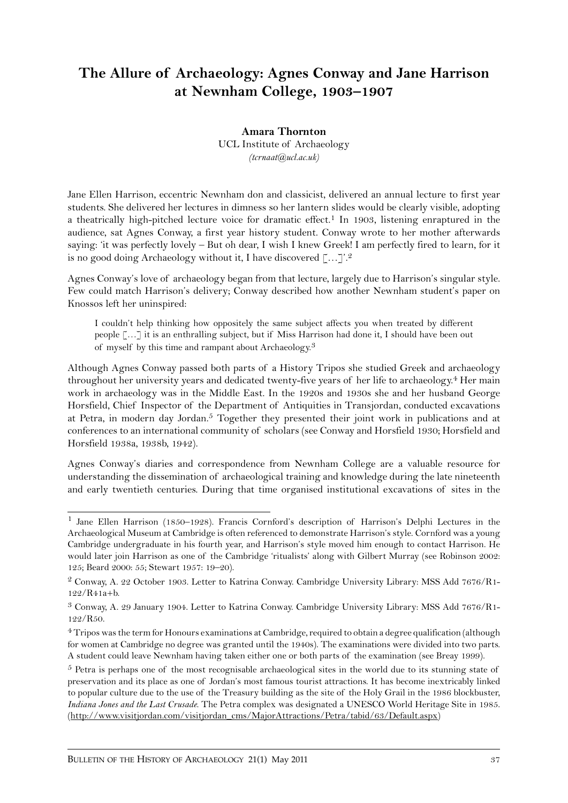# **The Allure of Archaeology: Agnes Conway and Jane Harrison at Newnham College, 1903–1907**

**Amara Thornton** UCL Institute of Archaeology *(tcrnaat@ucl.ac.uk)*

Jane Ellen Harrison, eccentric Newnham don and classicist, delivered an annual lecture to first year students. She delivered her lectures in dimness so her lantern slides would be clearly visible, adopting a theatrically high-pitched lecture voice for dramatic effect.<sup>1</sup> In 1903, listening enraptured in the audience, sat Agnes Conway, a first year history student. Conway wrote to her mother afterwards saying: 'it was perfectly lovely – But oh dear, I wish I knew Greek! I am perfectly fired to learn, for it is no good doing Archaeology without it, I have discovered  $[\dots]^2$ .

Agnes Conway's love of archaeology began from that lecture, largely due to Harrison's singular style. Few could match Harrison's delivery; Conway described how another Newnham student's paper on Knossos left her uninspired:

I couldn't help thinking how oppositely the same subject affects you when treated by different people […] it is an enthralling subject, but if Miss Harrison had done it, I should have been out of myself by this time and rampant about Archaeology.3

Although Agnes Conway passed both parts of a History Tripos she studied Greek and archaeology throughout her university years and dedicated twenty-five years of her life to archaeology.<sup>4</sup> Her main work in archaeology was in the Middle East. In the 1920s and 1930s she and her husband George Horsfield, Chief Inspector of the Department of Antiquities in Transjordan, conducted excavations at Petra, in modern day Jordan.<sup>5</sup> Together they presented their joint work in publications and at conferences to an international community of scholars (see Conway and Horsfield 1930; Horsfield and Horsfield 1938a, 1938b, 1942).

Agnes Conway's diaries and correspondence from Newnham College are a valuable resource for understanding the dissemination of archaeological training and knowledge during the late nineteenth and early twentieth centuries. During that time organised institutional excavations of sites in the

<sup>&</sup>lt;sup>1</sup> Jane Ellen Harrison (1850–1928). Francis Cornford's description of Harrison's Delphi Lectures in the Archaeological Museum at Cambridge is often referenced to demonstrate Harrison's style. Cornford was a young Cambridge undergraduate in his fourth year, and Harrison's style moved him enough to contact Harrison. He would later join Harrison as one of the Cambridge 'ritualists' along with Gilbert Murray (see Robinson 2002: 125; Beard 2000: 55; Stewart 1957: 19–20).

<sup>2</sup> Conway, A. 22 October 1903. Letter to Katrina Conway. Cambridge University Library: MSS Add 7676/R1- 122/R41a+b.

<sup>3</sup> Conway, A. 29 January 1904. Letter to Katrina Conway. Cambridge University Library: MSS Add 7676/R1- 122/R50.

<sup>4</sup> Tripos was the term for Honours examinations at Cambridge, required to obtain a degree qualification (although for women at Cambridge no degree was granted until the 1940s). The examinations were divided into two parts. A student could leave Newnham having taken either one or both parts of the examination (see Breay 1999).

<sup>5</sup> Petra is perhaps one of the most recognisable archaeological sites in the world due to its stunning state of preservation and its place as one of Jordan's most famous tourist attractions. It has become inextricably linked to popular culture due to the use of the Treasury building as the site of the Holy Grail in the 1986 blockbuster, *Indiana Jones and the Last Crusade*. The Petra complex was designated a UNESCO World Heritage Site in 1985. (http://www.visitjordan.com/visitjordan\_cms/MajorAttractions/Petra/tabid/63/Default.aspx)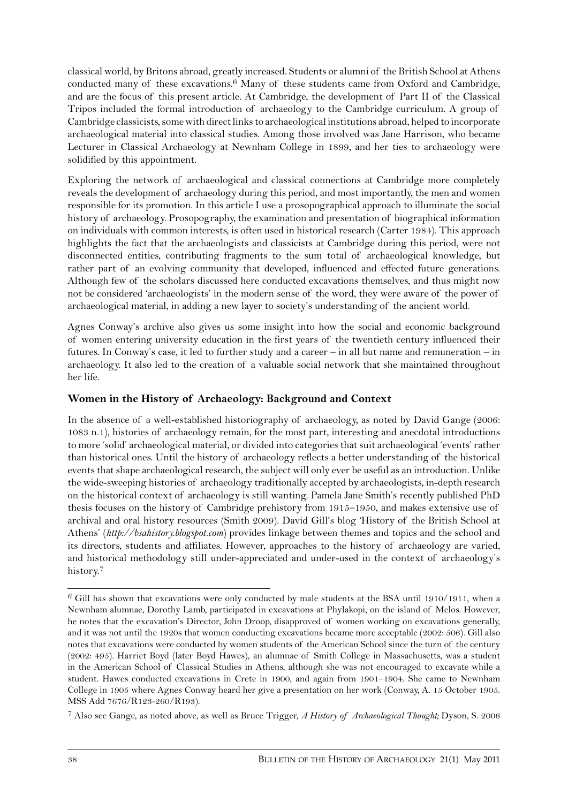classical world, by Britons abroad, greatly increased. Students or alumni of the British School at Athens conducted many of these excavations.6 Many of these students came from Oxford and Cambridge, and are the focus of this present article. At Cambridge, the development of Part II of the Classical Tripos included the formal introduction of archaeology to the Cambridge curriculum. A group of Cambridge classicists, some with direct links to archaeological institutions abroad, helped to incorporate archaeological material into classical studies. Among those involved was Jane Harrison, who became Lecturer in Classical Archaeology at Newnham College in 1899, and her ties to archaeology were solidified by this appointment.

Exploring the network of archaeological and classical connections at Cambridge more completely reveals the development of archaeology during this period, and most importantly, the men and women responsible for its promotion. In this article I use a prosopographical approach to illuminate the social history of archaeology. Prosopography, the examination and presentation of biographical information on individuals with common interests, is often used in historical research (Carter 1984). This approach highlights the fact that the archaeologists and classicists at Cambridge during this period, were not disconnected entities, contributing fragments to the sum total of archaeological knowledge, but rather part of an evolving community that developed, influenced and effected future generations. Although few of the scholars discussed here conducted excavations themselves, and thus might now not be considered 'archaeologists' in the modern sense of the word, they were aware of the power of archaeological material, in adding a new layer to society's understanding of the ancient world.

Agnes Conway's archive also gives us some insight into how the social and economic background of women entering university education in the first years of the twentieth century influenced their futures. In Conway's case, it led to further study and a career – in all but name and remuneration – in archaeology. It also led to the creation of a valuable social network that she maintained throughout her life.

### **Women in the History of Archaeology: Background and Context**

In the absence of a well-established historiography of archaeology, as noted by David Gange (2006: 1083 n.1), histories of archaeology remain, for the most part, interesting and anecdotal introductions to more 'solid' archaeological material, or divided into categories that suit archaeological 'events' rather than historical ones. Until the history of archaeology reflects a better understanding of the historical events that shape archaeological research, the subject will only ever be useful as an introduction. Unlike the wide-sweeping histories of archaeology traditionally accepted by archaeologists, in-depth research on the historical context of archaeology is still wanting. Pamela Jane Smith's recently published PhD thesis focuses on the history of Cambridge prehistory from 1915–1950, and makes extensive use of archival and oral history resources (Smith 2009). David Gill's blog 'History of the British School at Athens' (*http://bsahistory.blogspot.com*) provides linkage between themes and topics and the school and its directors, students and affiliates. However, approaches to the history of archaeology are varied, and historical methodology still under-appreciated and under-used in the context of archaeology's history.7

 $6$  Gill has shown that excavations were only conducted by male students at the BSA until 1910/1911, when a Newnham alumnae, Dorothy Lamb, participated in excavations at Phylakopi, on the island of Melos. However, he notes that the excavation's Director, John Droop, disapproved of women working on excavations generally, and it was not until the 1920s that women conducting excavations became more acceptable (2002: 506). Gill also notes that excavations were conducted by women students of the American School since the turn of the century (2002: 495). Harriet Boyd (later Boyd Hawes), an alumnae of Smith College in Massachusetts, was a student in the American School of Classical Studies in Athens, although she was not encouraged to excavate while a student. Hawes conducted excavations in Crete in 1900, and again from 1901–1904. She came to Newnham College in 1905 where Agnes Conway heard her give a presentation on her work (Conway, A. 15 October 1905. MSS Add 7676/R123-260/R193).

<sup>7</sup> Also see Gange, as noted above, as well as Bruce Trigger, *A History of Archaeological Thought;* Dyson, S. 2006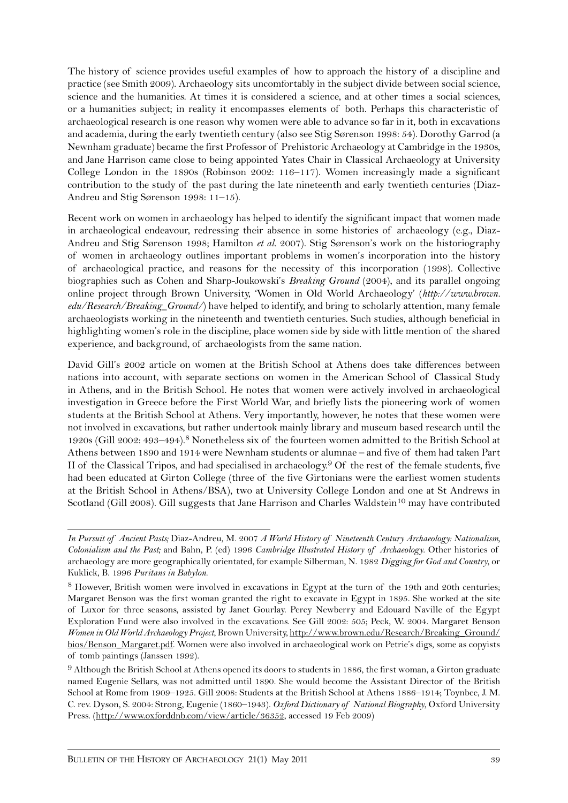The history of science provides useful examples of how to approach the history of a discipline and practice (see Smith 2009). Archaeology sits uncomfortably in the subject divide between social science, science and the humanities. At times it is considered a science, and at other times a social sciences, or a humanities subject; in reality it encompasses elements of both. Perhaps this characteristic of archaeological research is one reason why women were able to advance so far in it, both in excavations and academia, during the early twentieth century (also see Stig Sørenson 1998: 54). Dorothy Garrod (a Newnham graduate) became the first Professor of Prehistoric Archaeology at Cambridge in the 1930s, and Jane Harrison came close to being appointed Yates Chair in Classical Archaeology at University College London in the 1890s (Robinson 2002: 116–117). Women increasingly made a significant contribution to the study of the past during the late nineteenth and early twentieth centuries (Diaz-Andreu and Stig Sørenson 1998: 11–15).

Recent work on women in archaeology has helped to identify the significant impact that women made in archaeological endeavour, redressing their absence in some histories of archaeology (e.g., Diaz-Andreu and Stig Sørenson 1998; Hamilton *et al.* 2007). Stig Sørenson's work on the historiography of women in archaeology outlines important problems in women's incorporation into the history of archaeological practice, and reasons for the necessity of this incorporation (1998). Collective biographies such as Cohen and Sharp-Joukowski's *Breaking Ground* (2004), and its parallel ongoing online project through Brown University, 'Women in Old World Archaeology' (*http://www.brown. edu/Research/Breaking\_Ground/*) have helped to identify, and bring to scholarly attention, many female archaeologists working in the nineteenth and twentieth centuries. Such studies, although beneficial in highlighting women's role in the discipline, place women side by side with little mention of the shared experience, and background, of archaeologists from the same nation.

David Gill's 2002 article on women at the British School at Athens does take differences between nations into account, with separate sections on women in the American School of Classical Study in Athens, and in the British School. He notes that women were actively involved in archaeological investigation in Greece before the First World War, and briefly lists the pioneering work of women students at the British School at Athens. Very importantly, however, he notes that these women were not involved in excavations, but rather undertook mainly library and museum based research until the 1920s (Gill 2002: 493–494).8 Nonetheless six of the fourteen women admitted to the British School at Athens between 1890 and 1914 were Newnham students or alumnae – and five of them had taken Part II of the Classical Tripos, and had specialised in archaeology.<sup>9</sup> Of the rest of the female students, five had been educated at Girton College (three of the five Girtonians were the earliest women students at the British School in Athens/BSA), two at University College London and one at St Andrews in Scotland (Gill 2008). Gill suggests that Jane Harrison and Charles Waldstein<sup>10</sup> may have contributed

*In Pursuit of Ancient Pasts;* Diaz-Andreu, M. 2007 *A World History of Nineteenth Century Archaeology: Nationalism, Colonialism and the Past;* and Bahn, P. (ed) 1996 *Cambridge Illustrated History of Archaeology*. Other histories of archaeology are more geographically orientated, for example Silberman, N. 1982 *Digging for God and Country*, or Kuklick, B. 1996 *Puritans in Babylon*.

<sup>&</sup>lt;sup>8</sup> However, British women were involved in excavations in Egypt at the turn of the 19th and 20th centuries; Margaret Benson was the first woman granted the right to excavate in Egypt in 1895. She worked at the site of Luxor for three seasons, assisted by Janet Gourlay. Percy Newberry and Edouard Naville of the Egypt Exploration Fund were also involved in the excavations. See Gill 2002: 505; Peck, W. 2004. Margaret Benson *Women in Old World Archaeology Project*, Brown University, http://www.brown.edu/Research/Breaking\_Ground/ bios/Benson\_Margaret.pdf. Women were also involved in archaeological work on Petrie's digs, some as copyists of tomb paintings (Janssen 1992).

<sup>&</sup>lt;sup>9</sup> Although the British School at Athens opened its doors to students in 1886, the first woman, a Girton graduate named Eugenie Sellars, was not admitted until 1890. She would become the Assistant Director of the British School at Rome from 1909–1925. Gill 2008: Students at the British School at Athens 1886–1914; Toynbee, J. M. C. rev. Dyson, S. 2004: Strong, Eugenie (1860–1943). *Oxford Dictionary of National Biography*, Oxford University Press. (http://www.oxforddnb.com/view/article/36352, accessed 19 Feb 2009)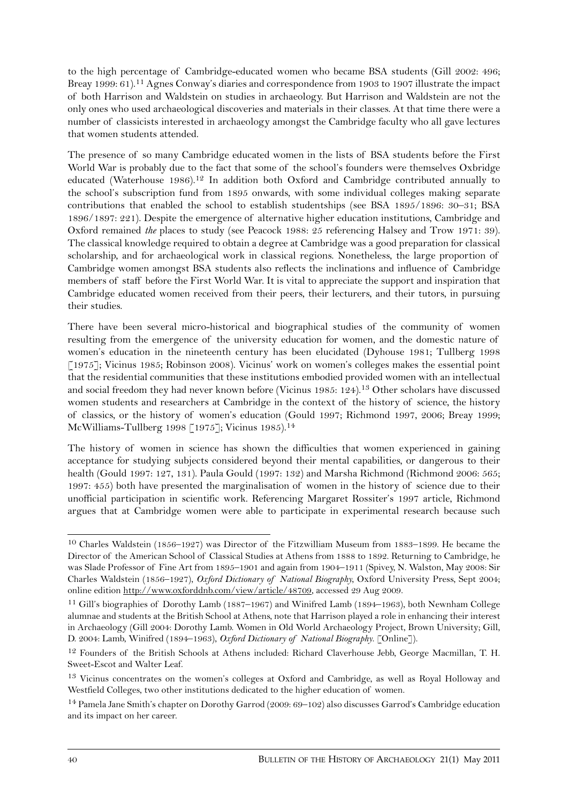to the high percentage of Cambridge-educated women who became BSA students (Gill 2002: 496; Breay 1999: 61).<sup>11</sup> Agnes Conway's diaries and correspondence from 1903 to 1907 illustrate the impact of both Harrison and Waldstein on studies in archaeology. But Harrison and Waldstein are not the only ones who used archaeological discoveries and materials in their classes. At that time there were a number of classicists interested in archaeology amongst the Cambridge faculty who all gave lectures that women students attended.

The presence of so many Cambridge educated women in the lists of BSA students before the First World War is probably due to the fact that some of the school's founders were themselves Oxbridge educated (Waterhouse 1986).<sup>12</sup> In addition both Oxford and Cambridge contributed annually to the school's subscription fund from 1895 onwards, with some individual colleges making separate contributions that enabled the school to establish studentships (see BSA 1895/1896: 30–31; BSA 1896/1897: 221). Despite the emergence of alternative higher education institutions, Cambridge and Oxford remained *the* places to study (see Peacock 1988: 25 referencing Halsey and Trow 1971: 39). The classical knowledge required to obtain a degree at Cambridge was a good preparation for classical scholarship, and for archaeological work in classical regions. Nonetheless, the large proportion of Cambridge women amongst BSA students also reflects the inclinations and influence of Cambridge members of staff before the First World War. It is vital to appreciate the support and inspiration that Cambridge educated women received from their peers, their lecturers, and their tutors, in pursuing their studies.

There have been several micro-historical and biographical studies of the community of women resulting from the emergence of the university education for women, and the domestic nature of women's education in the nineteenth century has been elucidated (Dyhouse 1981; Tullberg 1998 [1975]; Vicinus 1985; Robinson 2008). Vicinus' work on women's colleges makes the essential point that the residential communities that these institutions embodied provided women with an intellectual and social freedom they had never known before (Vicinus 1985: 124).13 Other scholars have discussed women students and researchers at Cambridge in the context of the history of science, the history of classics, or the history of women's education (Gould 1997; Richmond 1997, 2006; Breay 1999; McWilliams-Tullberg 1998 [1975]; Vicinus 1985).14

The history of women in science has shown the difficulties that women experienced in gaining acceptance for studying subjects considered beyond their mental capabilities, or dangerous to their health (Gould 1997: 127, 131). Paula Gould (1997: 132) and Marsha Richmond (Richmond 2006: 565; 1997: 455) both have presented the marginalisation of women in the history of science due to their unofficial participation in scientific work. Referencing Margaret Rossiter's 1997 article, Richmond argues that at Cambridge women were able to participate in experimental research because such

<sup>10</sup> Charles Waldstein (1856–1927) was Director of the Fitzwilliam Museum from 1883–1899. He became the Director of the American School of Classical Studies at Athens from 1888 to 1892. Returning to Cambridge, he was Slade Professor of Fine Art from 1895–1901 and again from 1904–1911 (Spivey, N. Walston, May 2008: Sir Charles Waldstein (1856–1927), *Oxford Dictionary of National Biography*, Oxford University Press, Sept 2004; online edition http://www.oxforddnb.com/view/article/48709, accessed 29 Aug 2009.

<sup>11</sup> Gill's biographies of Dorothy Lamb (1887–1967) and Winifred Lamb (1894–1963), both Newnham College alumnae and students at the British School at Athens, note that Harrison played a role in enhancing their interest in Archaeology (Gill 2004: Dorothy Lamb. Women in Old World Archaeology Project, Brown University; Gill, D. 2004: Lamb, Winifred (1894–1963), *Oxford Dictionary of National Biography*. [Online]).

<sup>12</sup> Founders of the British Schools at Athens included: Richard Claverhouse Jebb, George Macmillan, T. H. Sweet-Escot and Walter Leaf.

<sup>13</sup> Vicinus concentrates on the women's colleges at Oxford and Cambridge, as well as Royal Holloway and Westfield Colleges, two other institutions dedicated to the higher education of women.

<sup>14</sup> Pamela Jane Smith's chapter on Dorothy Garrod (2009: 69–102) also discusses Garrod's Cambridge education and its impact on her career.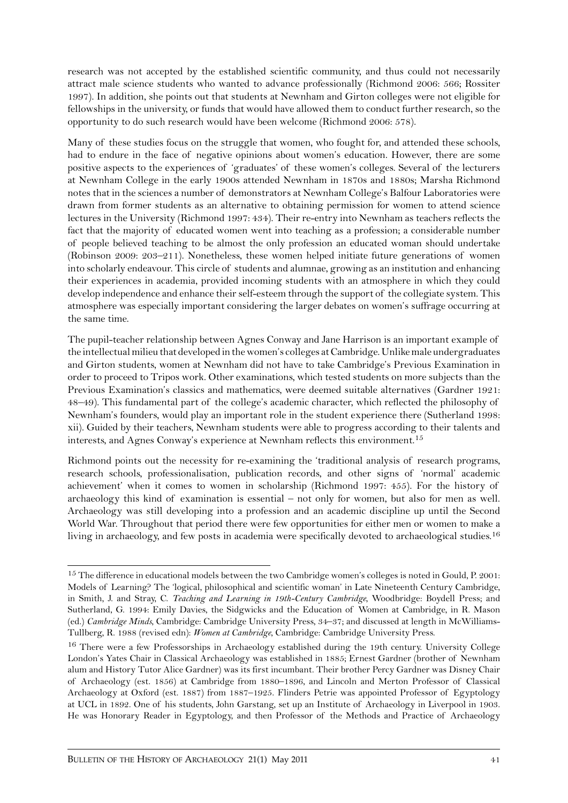research was not accepted by the established scientific community, and thus could not necessarily attract male science students who wanted to advance professionally (Richmond 2006: 566; Rossiter 1997). In addition, she points out that students at Newnham and Girton colleges were not eligible for fellowships in the university, or funds that would have allowed them to conduct further research, so the opportunity to do such research would have been welcome (Richmond 2006: 578).

Many of these studies focus on the struggle that women, who fought for, and attended these schools, had to endure in the face of negative opinions about women's education. However, there are some positive aspects to the experiences of 'graduates' of these women's colleges. Several of the lecturers at Newnham College in the early 1900s attended Newnham in 1870s and 1880s; Marsha Richmond notes that in the sciences a number of demonstrators at Newnham College's Balfour Laboratories were drawn from former students as an alternative to obtaining permission for women to attend science lectures in the University (Richmond 1997: 434). Their re-entry into Newnham as teachers reflects the fact that the majority of educated women went into teaching as a profession; a considerable number of people believed teaching to be almost the only profession an educated woman should undertake (Robinson 2009: 203–211). Nonetheless, these women helped initiate future generations of women into scholarly endeavour. This circle of students and alumnae, growing as an institution and enhancing their experiences in academia, provided incoming students with an atmosphere in which they could develop independence and enhance their self-esteem through the support of the collegiate system. This atmosphere was especially important considering the larger debates on women's suffrage occurring at the same time.

The pupil-teacher relationship between Agnes Conway and Jane Harrison is an important example of the intellectual milieu that developed in the women's colleges at Cambridge. Unlike male undergraduates and Girton students, women at Newnham did not have to take Cambridge's Previous Examination in order to proceed to Tripos work. Other examinations, which tested students on more subjects than the Previous Examination's classics and mathematics, were deemed suitable alternatives (Gardner 1921: 48–49). This fundamental part of the college's academic character, which reflected the philosophy of Newnham's founders, would play an important role in the student experience there (Sutherland 1998: xii). Guided by their teachers, Newnham students were able to progress according to their talents and interests, and Agnes Conway's experience at Newnham reflects this environment.15

Richmond points out the necessity for re-examining the 'traditional analysis of research programs, research schools, professionalisation, publication records, and other signs of 'normal' academic achievement' when it comes to women in scholarship (Richmond 1997: 455). For the history of archaeology this kind of examination is essential – not only for women, but also for men as well. Archaeology was still developing into a profession and an academic discipline up until the Second World War. Throughout that period there were few opportunities for either men or women to make a living in archaeology, and few posts in academia were specifically devoted to archaeological studies.16

<sup>&</sup>lt;sup>15</sup> The difference in educational models between the two Cambridge women's colleges is noted in Gould, P. 2001: Models of Learning? The 'logical, philosophical and scientific woman' in Late Nineteenth Century Cambridge, in Smith, J. and Stray, C. *Teaching and Learning in 19th-Century Cambridge*, Woodbridge: Boydell Press; and Sutherland, G. 1994: Emily Davies, the Sidgwicks and the Education of Women at Cambridge, in R. Mason (ed.) *Cambridge Minds*, Cambridge: Cambridge University Press, 34–37; and discussed at length in McWilliams-Tullberg, R. 1988 (revised edn): *Women at Cambridge*, Cambridge: Cambridge University Press.

<sup>16</sup> There were a few Professorships in Archaeology established during the 19th century. University College London's Yates Chair in Classical Archaeology was established in 1885; Ernest Gardner (brother of Newnham alum and History Tutor Alice Gardner) was its first incumbant. Their brother Percy Gardner was Disney Chair of Archaeology (est. 1856) at Cambridge from 1880–1896, and Lincoln and Merton Professor of Classical Archaeology at Oxford (est. 1887) from 1887–1925. Flinders Petrie was appointed Professor of Egyptology at UCL in 1892. One of his students, John Garstang, set up an Institute of Archaeology in Liverpool in 1903. He was Honorary Reader in Egyptology, and then Professor of the Methods and Practice of Archaeology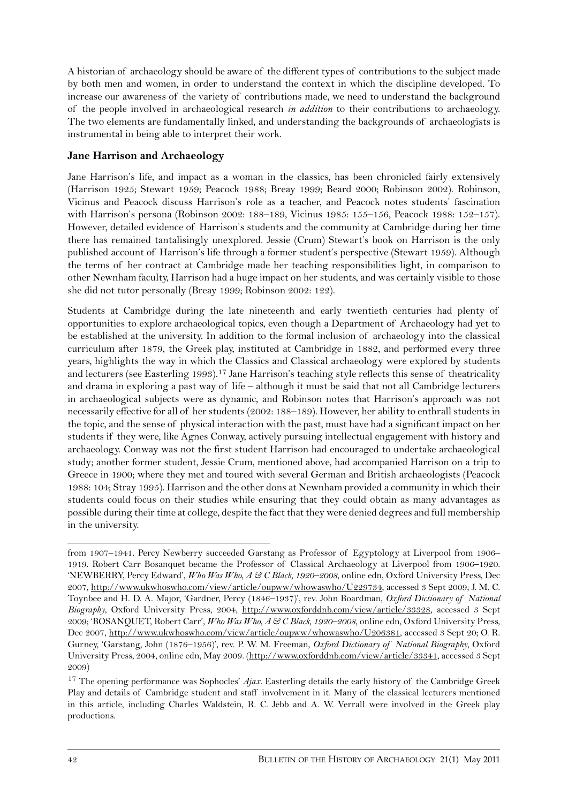A historian of archaeology should be aware of the different types of contributions to the subject made by both men and women, in order to understand the context in which the discipline developed. To increase our awareness of the variety of contributions made, we need to understand the background of the people involved in archaeological research *in addition* to their contributions to archaeology. The two elements are fundamentally linked, and understanding the backgrounds of archaeologists is instrumental in being able to interpret their work.

### **Jane Harrison and Archaeology**

Jane Harrison's life, and impact as a woman in the classics, has been chronicled fairly extensively (Harrison 1925; Stewart 1959; Peacock 1988; Breay 1999; Beard 2000; Robinson 2002). Robinson, Vicinus and Peacock discuss Harrison's role as a teacher, and Peacock notes students' fascination with Harrison's persona (Robinson 2002: 188–189, Vicinus 1985: 155–156, Peacock 1988: 152–157). However, detailed evidence of Harrison's students and the community at Cambridge during her time there has remained tantalisingly unexplored. Jessie (Crum) Stewart's book on Harrison is the only published account of Harrison's life through a former student's perspective (Stewart 1959). Although the terms of her contract at Cambridge made her teaching responsibilities light, in comparison to other Newnham faculty, Harrison had a huge impact on her students, and was certainly visible to those she did not tutor personally (Breay 1999; Robinson 2002: 122).

Students at Cambridge during the late nineteenth and early twentieth centuries had plenty of opportunities to explore archaeological topics, even though a Department of Archaeology had yet to be established at the university. In addition to the formal inclusion of archaeology into the classical curriculum after 1879, the Greek play, instituted at Cambridge in 1882, and performed every three years, highlights the way in which the Classics and Classical archaeology were explored by students and lecturers (see Easterling 1993).17 Jane Harrison's teaching style reflects this sense of theatricality and drama in exploring a past way of life – although it must be said that not all Cambridge lecturers in archaeological subjects were as dynamic, and Robinson notes that Harrison's approach was not necessarily effective for all of her students (2002: 188–189). However, her ability to enthrall students in the topic, and the sense of physical interaction with the past, must have had a significant impact on her students if they were, like Agnes Conway, actively pursuing intellectual engagement with history and archaeology. Conway was not the first student Harrison had encouraged to undertake archaeological study; another former student, Jessie Crum, mentioned above, had accompanied Harrison on a trip to Greece in 1900; where they met and toured with several German and British archaeologists (Peacock 1988: 104; Stray 1995). Harrison and the other dons at Newnham provided a community in which their students could focus on their studies while ensuring that they could obtain as many advantages as possible during their time at college, despite the fact that they were denied degrees and full membership in the university.

from 1907–1941. Percy Newberry succeeded Garstang as Professor of Egyptology at Liverpool from 1906– 1919. Robert Carr Bosanquet became the Professor of Classical Archaeology at Liverpool from 1906–1920. 'NEWBERRY, Percy Edward', *Who Was Who, A & C Black, 1920–2008*, online edn, Oxford University Press, Dec 2007, http://www.ukwhoswho.com/view/article/oupww/whowaswho/U229734, accessed 3 Sept 2009; J. M. C. Toynbee and H. D. A. Major, 'Gardner, Percy (1846–1937)', rev. John Boardman, *Oxford Dictionary of National Biography*, Oxford University Press, 2004, http://www.oxforddnb.com/view/article/33328, accessed 3 Sept 2009; 'BOSANQUET, Robert Carr', *Who Was Who, A & C Black, 1920–2008*, online edn, Oxford University Press, Dec 2007, http://www.ukwhoswho.com/view/article/oupww/whowaswho/U206381, accessed 3 Sept 20; O. R. Gurney, 'Garstang, John (1876–1956)', rev. P. W. M. Freeman, *Oxford Dictionary of National Biography*, Oxford University Press, 2004, online edn, May 2009. (http://www.oxforddnb.com/view/article/33341, accessed 3 Sept 2009)

<sup>17</sup> The opening performance was Sophocles' *Ajax*. Easterling details the early history of the Cambridge Greek Play and details of Cambridge student and staff involvement in it. Many of the classical lecturers mentioned in this article, including Charles Waldstein, R. C. Jebb and A. W. Verrall were involved in the Greek play productions.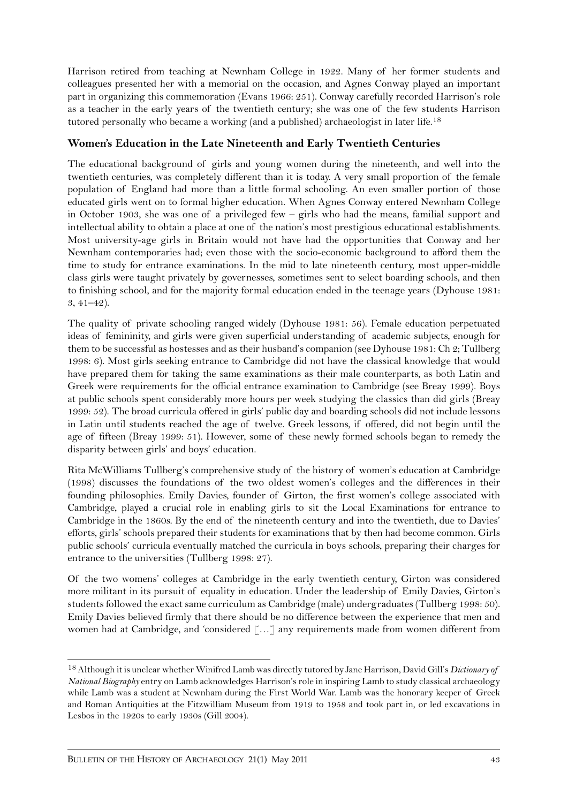Harrison retired from teaching at Newnham College in 1922. Many of her former students and colleagues presented her with a memorial on the occasion, and Agnes Conway played an important part in organizing this commemoration (Evans 1966: 251). Conway carefully recorded Harrison's role as a teacher in the early years of the twentieth century; she was one of the few students Harrison tutored personally who became a working (and a published) archaeologist in later life.<sup>18</sup>

### **Women's Education in the Late Nineteenth and Early Twentieth Centuries**

The educational background of girls and young women during the nineteenth, and well into the twentieth centuries, was completely different than it is today. A very small proportion of the female population of England had more than a little formal schooling. An even smaller portion of those educated girls went on to formal higher education. When Agnes Conway entered Newnham College in October 1903, she was one of a privileged few – girls who had the means, familial support and intellectual ability to obtain a place at one of the nation's most prestigious educational establishments. Most university-age girls in Britain would not have had the opportunities that Conway and her Newnham contemporaries had; even those with the socio-economic background to afford them the time to study for entrance examinations. In the mid to late nineteenth century, most upper-middle class girls were taught privately by governesses, sometimes sent to select boarding schools, and then to finishing school, and for the majority formal education ended in the teenage years (Dyhouse 1981: 3, 41–42).

The quality of private schooling ranged widely (Dyhouse 1981: 56). Female education perpetuated ideas of femininity, and girls were given superficial understanding of academic subjects, enough for them to be successful as hostesses and as their husband's companion (see Dyhouse 1981: Ch 2; Tullberg 1998: 6). Most girls seeking entrance to Cambridge did not have the classical knowledge that would have prepared them for taking the same examinations as their male counterparts, as both Latin and Greek were requirements for the official entrance examination to Cambridge (see Breay 1999). Boys at public schools spent considerably more hours per week studying the classics than did girls (Breay 1999: 52). The broad curricula offered in girls' public day and boarding schools did not include lessons in Latin until students reached the age of twelve. Greek lessons, if offered, did not begin until the age of fifteen (Breay 1999: 51). However, some of these newly formed schools began to remedy the disparity between girls' and boys' education.

Rita McWilliams Tullberg's comprehensive study of the history of women's education at Cambridge (1998) discusses the foundations of the two oldest women's colleges and the differences in their founding philosophies. Emily Davies, founder of Girton, the first women's college associated with Cambridge, played a crucial role in enabling girls to sit the Local Examinations for entrance to Cambridge in the 1860s. By the end of the nineteenth century and into the twentieth, due to Davies' efforts, girls' schools prepared their students for examinations that by then had become common. Girls public schools' curricula eventually matched the curricula in boys schools, preparing their charges for entrance to the universities (Tullberg 1998: 27).

Of the two womens' colleges at Cambridge in the early twentieth century, Girton was considered more militant in its pursuit of equality in education. Under the leadership of Emily Davies, Girton's students followed the exact same curriculum as Cambridge (male) undergraduates (Tullberg 1998: 50). Emily Davies believed firmly that there should be no difference between the experience that men and women had at Cambridge, and 'considered [...] any requirements made from women different from

<sup>18</sup> Although it is unclear whether Winifred Lamb was directly tutored by Jane Harrison, David Gill's *Dictionary of National Biography* entry on Lamb acknowledges Harrison's role in inspiring Lamb to study classical archaeology while Lamb was a student at Newnham during the First World War. Lamb was the honorary keeper of Greek and Roman Antiquities at the Fitzwilliam Museum from 1919 to 1958 and took part in, or led excavations in Lesbos in the 1920s to early 1930s (Gill 2004).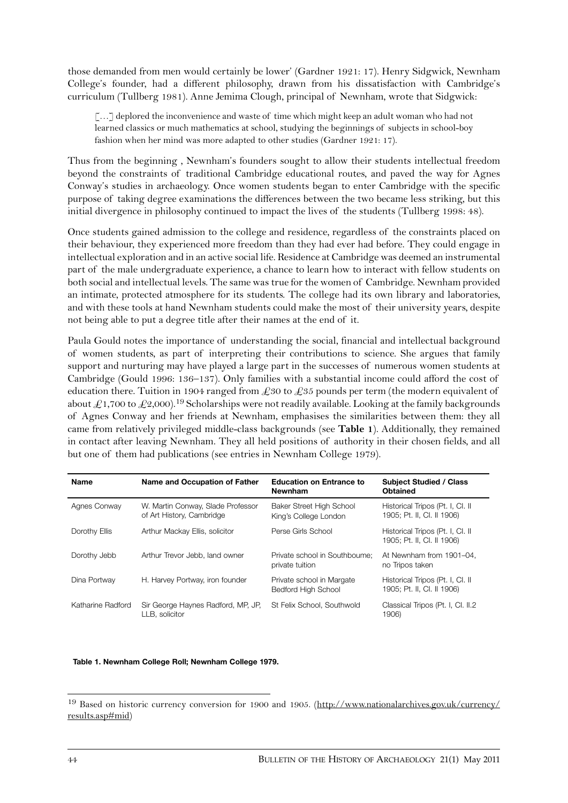those demanded from men would certainly be lower' (Gardner 1921: 17). Henry Sidgwick, Newnham College's founder, had a different philosophy, drawn from his dissatisfaction with Cambridge's curriculum (Tullberg 1981). Anne Jemima Clough, principal of Newnham, wrote that Sidgwick:

 $\lceil \ldots \rceil$  deplored the inconvenience and waste of time which might keep an adult woman who had not learned classics or much mathematics at school, studying the beginnings of subjects in school-boy fashion when her mind was more adapted to other studies (Gardner 1921: 17).

Thus from the beginning , Newnham's founders sought to allow their students intellectual freedom beyond the constraints of traditional Cambridge educational routes, and paved the way for Agnes Conway's studies in archaeology. Once women students began to enter Cambridge with the specific purpose of taking degree examinations the differences between the two became less striking, but this initial divergence in philosophy continued to impact the lives of the students (Tullberg 1998: 48).

Once students gained admission to the college and residence, regardless of the constraints placed on their behaviour, they experienced more freedom than they had ever had before. They could engage in intellectual exploration and in an active social life. Residence at Cambridge was deemed an instrumental part of the male undergraduate experience, a chance to learn how to interact with fellow students on both social and intellectual levels. The same was true for the women of Cambridge. Newnham provided an intimate, protected atmosphere for its students. The college had its own library and laboratories, and with these tools at hand Newnham students could make the most of their university years, despite not being able to put a degree title after their names at the end of it.

Paula Gould notes the importance of understanding the social, financial and intellectual background of women students, as part of interpreting their contributions to science. She argues that family support and nurturing may have played a large part in the successes of numerous women students at Cambridge (Gould 1996: 136–137). Only families with a substantial income could afford the cost of education there. Tuition in 1904 ranged from £30 to £35 pounds per term (the modern equivalent of about £1,700 to £2,000).<sup>19</sup> Scholarships were not readily available. Looking at the family backgrounds of Agnes Conway and her friends at Newnham, emphasises the similarities between them: they all came from relatively privileged middle-class backgrounds (see **Table 1**). Additionally, they remained in contact after leaving Newnham. They all held positions of authority in their chosen fields, and all but one of them had publications (see entries in Newnham College 1979).

| <b>Name</b>       | Name and Occupation of Father                                  | <b>Education on Entrance to</b><br><b>Newnham</b>       | <b>Subject Studied / Class</b><br>Obtained                     |
|-------------------|----------------------------------------------------------------|---------------------------------------------------------|----------------------------------------------------------------|
| Agnes Conway      | W. Martin Conway, Slade Professor<br>of Art History, Cambridge | Baker Street High School<br>King's College London       | Historical Tripos (Pt. I, CI. II<br>1905; Pt. II, CI. II 1906) |
| Dorothy Ellis     | Arthur Mackay Ellis, solicitor                                 | Perse Girls School                                      | Historical Tripos (Pt. I, CI. II<br>1905; Pt. II, CI. II 1906) |
| Dorothy Jebb      | Arthur Trevor Jebb, land owner                                 | Private school in Southboume:<br>private tuition        | At Newnham from 1901-04.<br>no Tripos taken                    |
| Dina Portway      | H. Harvey Portway, iron founder                                | Private school in Margate<br><b>Bedford High School</b> | Historical Tripos (Pt. I, CI. II<br>1905; Pt. II, CI. II 1906) |
| Katharine Radford | Sir George Haynes Radford, MP, JP,<br>LLB. solicitor           | St Felix School, Southwold                              | Classical Tripos (Pt. I, Cl. II.2<br>1906)                     |

#### **Table 1. Newnham College Roll; Newnham College 1979.**

<sup>&</sup>lt;sup>19</sup> Based on historic currency conversion for 1900 and 1905. (http://www.nationalarchives.gov.uk/currency/ results.asp#mid)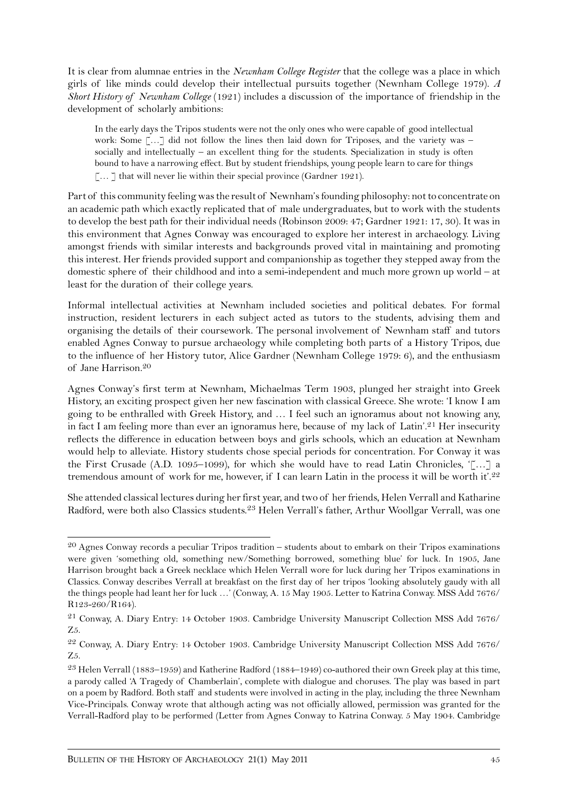It is clear from alumnae entries in the *Newnham College Register* that the college was a place in which girls of like minds could develop their intellectual pursuits together (Newnham College 1979). *A Short History of Newnham College* (1921) includes a discussion of the importance of friendship in the development of scholarly ambitions:

In the early days the Tripos students were not the only ones who were capable of good intellectual work: Some [...] did not follow the lines then laid down for Triposes, and the variety was socially and intellectually – an excellent thing for the students. Specialization in study is often bound to have a narrowing effect. But by student friendships, young people learn to care for things [...] that will never lie within their special province (Gardner 1921).

Part of this community feeling was the result of Newnham's founding philosophy: not to concentrate on an academic path which exactly replicated that of male undergraduates, but to work with the students to develop the best path for their individual needs (Robinson 2009: 47; Gardner 1921: 17, 30). It was in this environment that Agnes Conway was encouraged to explore her interest in archaeology. Living amongst friends with similar interests and backgrounds proved vital in maintaining and promoting this interest. Her friends provided support and companionship as together they stepped away from the domestic sphere of their childhood and into a semi-independent and much more grown up world – at least for the duration of their college years.

Informal intellectual activities at Newnham included societies and political debates. For formal instruction, resident lecturers in each subject acted as tutors to the students, advising them and organising the details of their coursework. The personal involvement of Newnham staff and tutors enabled Agnes Conway to pursue archaeology while completing both parts of a History Tripos, due to the influence of her History tutor, Alice Gardner (Newnham College 1979: 6), and the enthusiasm of Jane Harrison.20

Agnes Conway's first term at Newnham, Michaelmas Term 1903, plunged her straight into Greek History, an exciting prospect given her new fascination with classical Greece. She wrote: 'I know I am going to be enthralled with Greek History, and … I feel such an ignoramus about not knowing any, in fact I am feeling more than ever an ignoramus here, because of my lack of Latin'.<sup>21</sup> Her insecurity reflects the difference in education between boys and girls schools, which an education at Newnham would help to alleviate. History students chose special periods for concentration. For Conway it was the First Crusade (A.D. 1095–1099), for which she would have to read Latin Chronicles, '[...] a tremendous amount of work for me, however, if I can learn Latin in the process it will be worth it'.<sup>22</sup>

She attended classical lectures during her first year, and two of her friends, Helen Verrall and Katharine Radford, were both also Classics students.23 Helen Verrall's father, Arthur Woollgar Verrall, was one

 $20$  Agnes Conway records a peculiar Tripos tradition – students about to embark on their Tripos examinations were given 'something old, something new/Something borrowed, something blue' for luck. In 1905, Jane Harrison brought back a Greek necklace which Helen Verrall wore for luck during her Tripos examinations in Classics. Conway describes Verrall at breakfast on the first day of her tripos 'looking absolutely gaudy with all the things people had leant her for luck …' (Conway, A. 15 May 1905. Letter to Katrina Conway. MSS Add 7676/ R123-260/R164).

<sup>21</sup> Conway, A. Diary Entry: 14 October 1903. Cambridge University Manuscript Collection MSS Add 7676/ Z5.

<sup>22</sup> Conway, A. Diary Entry: 14 October 1903. Cambridge University Manuscript Collection MSS Add 7676/ Z5.

<sup>23</sup> Helen Verrall (1883–1959) and Katherine Radford (1884–1949) co-authored their own Greek play at this time, a parody called 'A Tragedy of Chamberlain', complete with dialogue and choruses. The play was based in part on a poem by Radford. Both staff and students were involved in acting in the play, including the three Newnham Vice-Principals. Conway wrote that although acting was not officially allowed, permission was granted for the Verrall-Radford play to be performed (Letter from Agnes Conway to Katrina Conway. 5 May 1904. Cambridge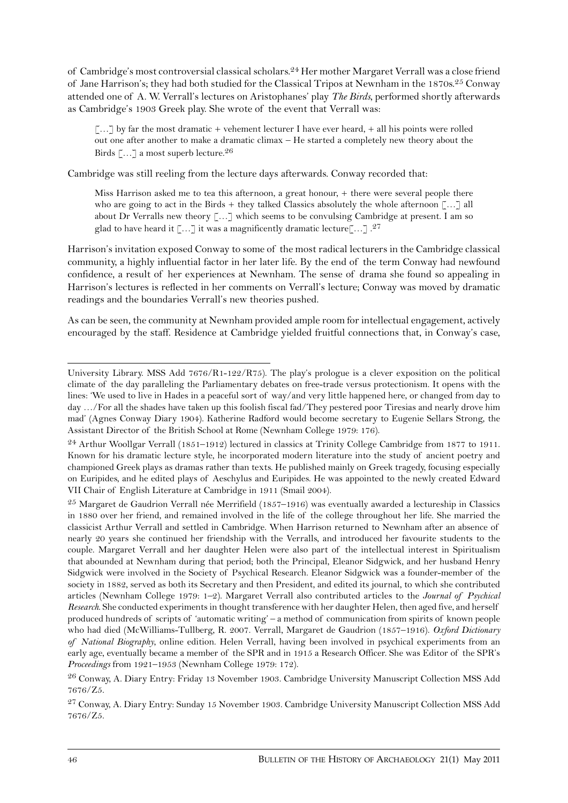of Cambridge's most controversial classical scholars.24 Her mother Margaret Verrall was a close friend of Jane Harrison's; they had both studied for the Classical Tripos at Newnham in the 1870s.<sup>25</sup> Conway attended one of A. W. Verrall's lectures on Aristophanes' play *The Birds*, performed shortly afterwards as Cambridge's 1903 Greek play. She wrote of the event that Verrall was:

 $\lceil \ldots \rceil$  by far the most dramatic + vehement lecturer I have ever heard, + all his points were rolled out one after another to make a dramatic climax – He started a completely new theory about the Birds […] a most superb lecture.26

Cambridge was still reeling from the lecture days afterwards. Conway recorded that:

Miss Harrison asked me to tea this afternoon, a great honour, + there were several people there who are going to act in the Birds  $+$  they talked Classics absolutely the whole afternoon [...] all about Dr Verralls new theory [...] which seems to be convulsing Cambridge at present. I am so glad to have heard it [...] it was a magnificently dramatic lecture[...]  $.27$ 

Harrison's invitation exposed Conway to some of the most radical lecturers in the Cambridge classical community, a highly influential factor in her later life. By the end of the term Conway had newfound confidence, a result of her experiences at Newnham. The sense of drama she found so appealing in Harrison's lectures is reflected in her comments on Verrall's lecture; Conway was moved by dramatic readings and the boundaries Verrall's new theories pushed.

As can be seen, the community at Newnham provided ample room for intellectual engagement, actively encouraged by the staff. Residence at Cambridge yielded fruitful connections that, in Conway's case,

University Library. MSS Add 7676/R1-122/R75). The play's prologue is a clever exposition on the political climate of the day paralleling the Parliamentary debates on free-trade versus protectionism. It opens with the lines: 'We used to live in Hades in a peaceful sort of way/and very little happened here, or changed from day to day …/For all the shades have taken up this foolish fiscal fad/They pestered poor Tiresias and nearly drove him mad' (Agnes Conway Diary 1904). Katherine Radford would become secretary to Eugenie Sellars Strong, the Assistant Director of the British School at Rome (Newnham College 1979: 176).

<sup>24</sup> Arthur Woollgar Verrall (1851–1912) lectured in classics at Trinity College Cambridge from 1877 to 1911. Known for his dramatic lecture style, he incorporated modern literature into the study of ancient poetry and championed Greek plays as dramas rather than texts. He published mainly on Greek tragedy, focusing especially on Euripides, and he edited plays of Aeschylus and Euripides. He was appointed to the newly created Edward VII Chair of English Literature at Cambridge in 1911 (Smail 2004).

 $25$  Margaret de Gaudrion Verrall née Merrifield (1857–1916) was eventually awarded a lectureship in Classics in 1880 over her friend, and remained involved in the life of the college throughout her life. She married the classicist Arthur Verrall and settled in Cambridge. When Harrison returned to Newnham after an absence of nearly 20 years she continued her friendship with the Verralls, and introduced her favourite students to the couple. Margaret Verrall and her daughter Helen were also part of the intellectual interest in Spiritualism that abounded at Newnham during that period; both the Principal, Eleanor Sidgwick, and her husband Henry Sidgwick were involved in the Society of Psychical Research. Eleanor Sidgwick was a founder-member of the society in 1882, served as both its Secretary and then President, and edited its journal, to which she contributed articles (Newnham College 1979: 1–2). Margaret Verrall also contributed articles to the *Journal of Psychical Research*. She conducted experiments in thought transference with her daughter Helen, then aged five, and herself produced hundreds of scripts of 'automatic writing' – a method of communication from spirits of known people who had died (McWilliams-Tullberg, R. 2007. Verrall, Margaret de Gaudrion (1857–1916). *Oxford Dictionary of National Biography*, online edition. Helen Verrall, having been involved in psychical experiments from an early age, eventually became a member of the SPR and in 1915 a Research Officer. She was Editor of the SPR's *Proceedings* from 1921–1953 (Newnham College 1979: 172).

<sup>26</sup> Conway, A. Diary Entry: Friday 13 November 1903. Cambridge University Manuscript Collection MSS Add 7676/Z5.

<sup>27</sup> Conway, A. Diary Entry: Sunday 15 November 1903. Cambridge University Manuscript Collection MSS Add 7676/Z5.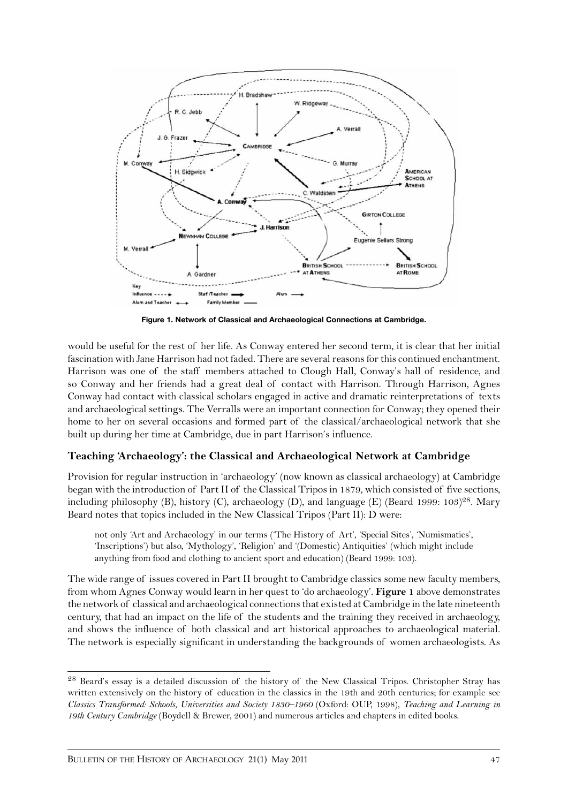

**Figure 1. Network of Classical and Archaeological Connections at Cambridge.**

would be useful for the rest of her life. As Conway entered her second term, it is clear that her initial fascination with Jane Harrison had not faded. There are several reasons for this continued enchantment. Harrison was one of the staff members attached to Clough Hall, Conway's hall of residence, and so Conway and her friends had a great deal of contact with Harrison. Through Harrison, Agnes Conway had contact with classical scholars engaged in active and dramatic reinterpretations of texts and archaeological settings. The Verralls were an important connection for Conway; they opened their home to her on several occasions and formed part of the classical/archaeological network that she built up during her time at Cambridge, due in part Harrison's influence.

### **Teaching 'Archaeology': the Classical and Archaeological Network at Cambridge**

Provision for regular instruction in 'archaeology' (now known as classical archaeology) at Cambridge began with the introduction of Part II of the Classical Tripos in 1879, which consisted of five sections, including philosophy (B), history (C), archaeology (D), and language (E) (Beard 1999: 103)<sup>28</sup>. Mary Beard notes that topics included in the New Classical Tripos (Part II): D were:

not only 'Art and Archaeology' in our terms ('The History of Art', 'Special Sites', 'Numismatics', 'Inscriptions') but also, 'Mythology', 'Religion' and '(Domestic) Antiquities' (which might include anything from food and clothing to ancient sport and education) (Beard 1999: 103).

The wide range of issues covered in Part II brought to Cambridge classics some new faculty members, from whom Agnes Conway would learn in her quest to 'do archaeology'. **Figure 1** above demonstrates the network of classical and archaeological connections that existed at Cambridge in the late nineteenth century, that had an impact on the life of the students and the training they received in archaeology, and shows the influence of both classical and art historical approaches to archaeological material. The network is especially significant in understanding the backgrounds of women archaeologists. As

<sup>28</sup> Beard's essay is a detailed discussion of the history of the New Classical Tripos. Christopher Stray has written extensively on the history of education in the classics in the 19th and 20th centuries; for example see *Classics Transformed: Schools, Universities and Society 1830–1960* (Oxford: OUP, 1998), *Teaching and Learning in 19th Century Cambridge* (Boydell & Brewer, 2001) and numerous articles and chapters in edited books.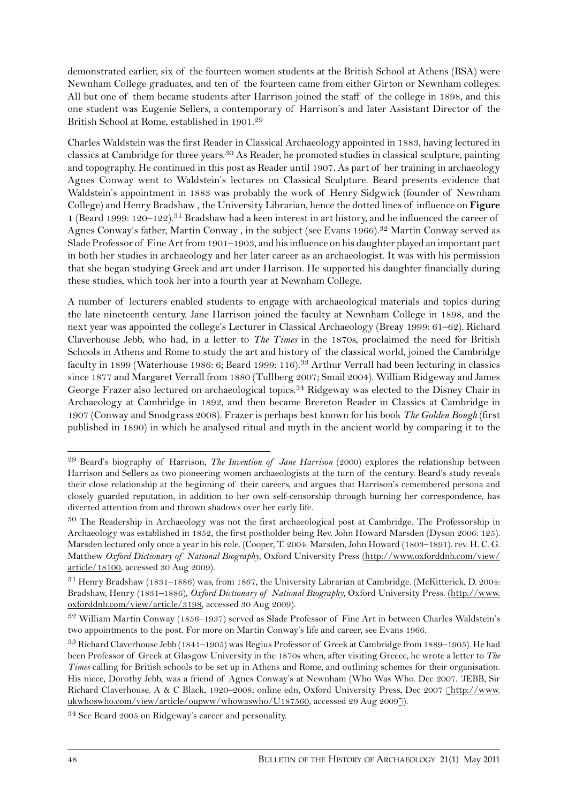demonstrated earlier, six of the fourteen women students at the British School at Athens (BSA) were Newnham College graduates, and ten of the fourteen came from either Girton or Newnham colleges. All but one of them became students after Harrison joined the staff of the college in 1898, and this one student was Eugenie Sellers, a contemporary of Harrison's and later Assistant Director of the British School at Rome, established in 1901.29

Charles Waldstein was the first Reader in Classical Archaeology appointed in 1883, having lectured in classics at Cambridge for three years.30 As Reader, he promoted studies in classical sculpture, painting and topography. He continued in this post as Reader until 1907. As part of her training in archaeology Agnes Conway went to Waldstein's lectures on Classical Sculpture. Beard presents evidence that Waldstein's appointment in 1883 was probably the work of Henry Sidgwick (founder of Newnham College) and Henry Bradshaw , the University Librarian, hence the dotted lines of influence on **Figure 1** (Beard 1999: 120–122).31 Bradshaw had a keen interest in art history, and he influenced the career of Agnes Conway's father, Martin Conway, in the subject (see Evans 1966).<sup>32</sup> Martin Conway served as Slade Professor of Fine Art from 1901–1903, and his influence on his daughter played an important part in both her studies in archaeology and her later career as an archaeologist. It was with his permission that she began studying Greek and art under Harrison. He supported his daughter financially during these studies, which took her into a fourth year at Newnham College.

A number of lecturers enabled students to engage with archaeological materials and topics during the late nineteenth century. Jane Harrison joined the faculty at Newnham College in 1898, and the next year was appointed the college's Lecturer in Classical Archaeology (Breay 1999: 61–62). Richard Claverhouse Jebb, who had, in a letter to *The Times* in the 1870s, proclaimed the need for British Schools in Athens and Rome to study the art and history of the classical world, joined the Cambridge faculty in 1899 (Waterhouse 1986: 6; Beard 1999: 116).<sup>33</sup> Arthur Verrall had been lecturing in classics since 1877 and Margaret Verrall from 1880 (Tullberg 2007; Smail 2004). William Ridgeway and James George Frazer also lectured on archaeological topics.34 Ridgeway was elected to the Disney Chair in Archaeology at Cambridge in 1892, and then became Brereton Reader in Classics at Cambridge in 1907 (Conway and Snodgrass 2008). Frazer is perhaps best known for his book *The Golden Bough* (first published in 1890) in which he analysed ritual and myth in the ancient world by comparing it to the

34 See Beard 2005 on Ridgeway's career and personality.

<sup>29</sup> Beard's biography of Harrison, *The Invention of Jane Harrison* (2000) explores the relationship between Harrison and Sellers as two pioneering women archaeologists at the turn of the century. Beard's study reveals their close relationship at the beginning of their careers, and argues that Harrison's remembered persona and closely guarded reputation, in addition to her own self-censorship through burning her correspondence, has diverted attention from and thrown shadows over her early life.

<sup>30</sup> The Readership in Archaeology was not the first archaeological post at Cambridge. The Professorship in Archaeology was established in 1852, the first postholder being Rev. John Howard Marsden (Dyson 2006: 125). Marsden lectured only once a year in his role. (Cooper, T. 2004. Marsden, John Howard (1803–1891). rev. H. C. G. Matthew *Oxford Dictionary of National Biography*, Oxford University Press (http://www.oxforddnb.com/view/ article/18100, accessed 30 Aug 2009).

<sup>31</sup> Henry Bradshaw (1831–1886) was, from 1867, the University Librarian at Cambridge. (McKitterick, D. 2004: Bradshaw, Henry (1831–1886), *Oxford Dictionary of National Biography*, Oxford University Press. (http://www. oxforddnb.com/view/article/3198, accessed 30 Aug 2009).

<sup>32</sup> William Martin Conway (1856–1937) served as Slade Professor of Fine Art in between Charles Waldstein's two appointments to the post. For more on Martin Conway's life and career, see Evans 1966.

<sup>33</sup> Richard Claverhouse Jebb (1841–1905) was Regius Professor of Greek at Cambridge from 1889–1905). He had been Professor of Greek at Glasgow University in the 1870s when, after visiting Greece, he wrote a letter to *The Times* calling for British schools to be set up in Athens and Rome, and outlining schemes for their organisation. His niece, Dorothy Jebb, was a friend of Agnes Conway's at Newnham (Who Was Who. Dec 2007. 'JEBB, Sir Richard Claverhouse. A & C Black, 1920–2008; online edn, Oxford University Press, Dec 2007 [http://www. ukwhoswho.com/view/article/oupww/whowaswho/U187560, accessed 29 Aug 2009]).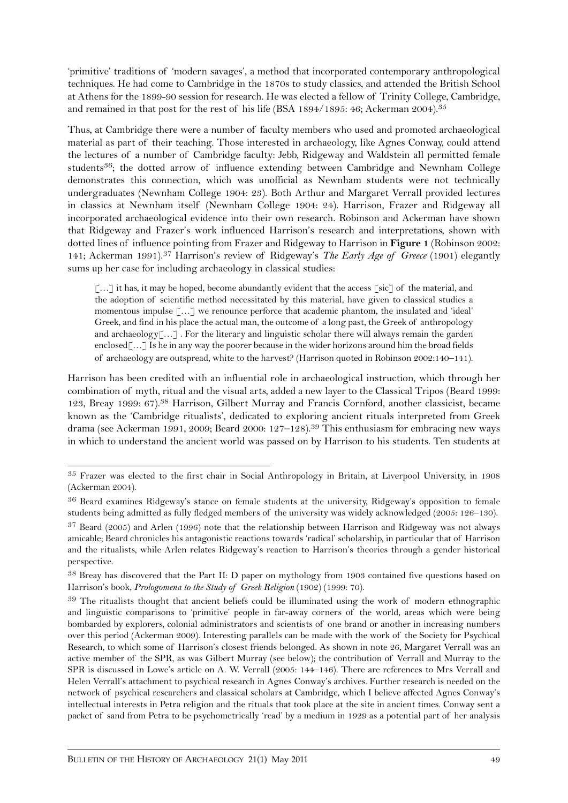'primitive' traditions of 'modern savages', a method that incorporated contemporary anthropological techniques. He had come to Cambridge in the 1870s to study classics, and attended the British School at Athens for the 1899-90 session for research. He was elected a fellow of Trinity College, Cambridge, and remained in that post for the rest of his life (BSA 1894/1895: 46; Ackerman 2004).<sup>35</sup>

Thus, at Cambridge there were a number of faculty members who used and promoted archaeological material as part of their teaching. Those interested in archaeology, like Agnes Conway, could attend the lectures of a number of Cambridge faculty: Jebb, Ridgeway and Waldstein all permitted female students<sup>36</sup>; the dotted arrow of influence extending between Cambridge and Newnham College demonstrates this connection, which was unofficial as Newnham students were not technically undergraduates (Newnham College 1904: 23). Both Arthur and Margaret Verrall provided lectures in classics at Newnham itself (Newnham College 1904: 24). Harrison, Frazer and Ridgeway all incorporated archaeological evidence into their own research. Robinson and Ackerman have shown that Ridgeway and Frazer's work influenced Harrison's research and interpretations, shown with dotted lines of influence pointing from Frazer and Ridgeway to Harrison in **Figure 1** (Robinson 2002: 141; Ackerman 1991).37 Harrison's review of Ridgeway's *The Early Age of Greece* (1901) elegantly sums up her case for including archaeology in classical studies:

 $\lceil \ldots \rceil$  it has, it may be hoped, become abundantly evident that the access  $\lceil \text{sic} \rceil$  of the material, and the adoption of scientific method necessitated by this material, have given to classical studies a momentous impulse  $\lceil \ldots \rceil$  we renounce perforce that academic phantom, the insulated and 'ideal' Greek, and find in his place the actual man, the outcome of a long past, the Greek of anthropology and archaeology $\lceil \ldots \rceil$ . For the literary and linguistic scholar there will always remain the garden enclosed[…] Is he in any way the poorer because in the wider horizons around him the broad fields of archaeology are outspread, white to the harvest? (Harrison quoted in Robinson 2002:140–141).

Harrison has been credited with an influential role in archaeological instruction, which through her combination of myth, ritual and the visual arts, added a new layer to the Classical Tripos (Beard 1999: 123, Breay 1999: 67).38 Harrison, Gilbert Murray and Francis Cornford, another classicist, became known as the 'Cambridge ritualists', dedicated to exploring ancient rituals interpreted from Greek drama (see Ackerman 1991, 2009; Beard 2000: 127-128).<sup>39</sup> This enthusiasm for embracing new ways in which to understand the ancient world was passed on by Harrison to his students. Ten students at

<sup>35</sup> Frazer was elected to the first chair in Social Anthropology in Britain, at Liverpool University, in 1908 (Ackerman 2004).

<sup>36</sup> Beard examines Ridgeway's stance on female students at the university, Ridgeway's opposition to female students being admitted as fully fledged members of the university was widely acknowledged (2005: 126–130).

 $37$  Beard (2005) and Arlen (1996) note that the relationship between Harrison and Ridgeway was not always amicable; Beard chronicles his antagonistic reactions towards 'radical' scholarship, in particular that of Harrison and the ritualists, while Arlen relates Ridgeway's reaction to Harrison's theories through a gender historical perspective.

<sup>38</sup> Breay has discovered that the Part II: D paper on mythology from 1903 contained five questions based on Harrison's book, *Prologomena to the Study of Greek Religion* (1902) (1999: 70).

<sup>&</sup>lt;sup>39</sup> The ritualists thought that ancient beliefs could be illuminated using the work of modern ethnographic and linguistic comparisons to 'primitive' people in far-away corners of the world, areas which were being bombarded by explorers, colonial administrators and scientists of one brand or another in increasing numbers over this period (Ackerman 2009). Interesting parallels can be made with the work of the Society for Psychical Research, to which some of Harrison's closest friends belonged. As shown in note 26, Margaret Verrall was an active member of the SPR, as was Gilbert Murray (see below); the contribution of Verrall and Murray to the SPR is discussed in Lowe's article on A. W. Verrall (2005: 144–146). There are references to Mrs Verrall and Helen Verrall's attachment to psychical research in Agnes Conway's archives. Further research is needed on the network of psychical researchers and classical scholars at Cambridge, which I believe affected Agnes Conway's intellectual interests in Petra religion and the rituals that took place at the site in ancient times. Conway sent a packet of sand from Petra to be psychometrically 'read' by a medium in 1929 as a potential part of her analysis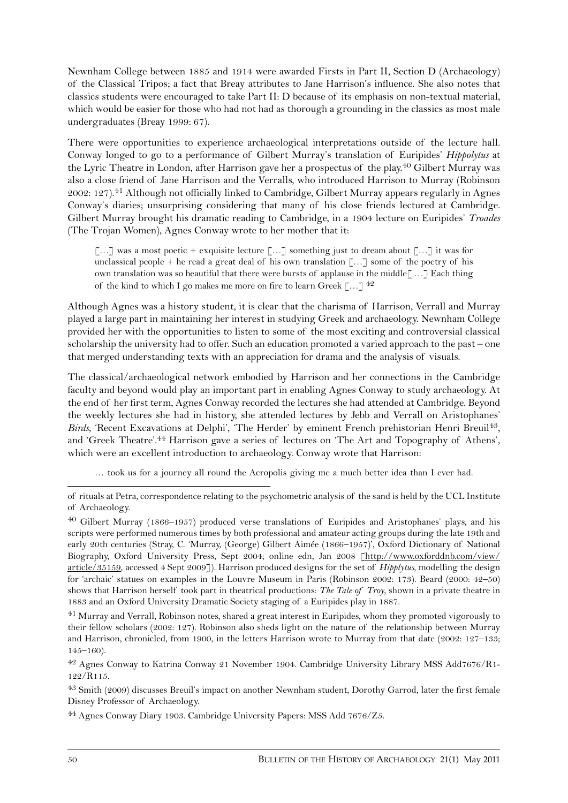Newnham College between 1885 and 1914 were awarded Firsts in Part II, Section D (Archaeology) of the Classical Tripos; a fact that Breay attributes to Jane Harrison's influence. She also notes that classics students were encouraged to take Part II: D because of its emphasis on non-textual material, which would be easier for those who had not had as thorough a grounding in the classics as most male undergraduates (Breay 1999: 67).

There were opportunities to experience archaeological interpretations outside of the lecture hall. Conway longed to go to a performance of Gilbert Murray's translation of Euripides' *Hippolytus* at the Lyric Theatre in London, after Harrison gave her a prospectus of the play.40 Gilbert Murray was also a close friend of Jane Harrison and the Verralls, who introduced Harrison to Murray (Robinson 2002: 127).<sup>41</sup> Although not officially linked to Cambridge, Gilbert Murray appears regularly in Agnes Conway's diaries; unsurprising considering that many of his close friends lectured at Cambridge. Gilbert Murray brought his dramatic reading to Cambridge, in a 1904 lecture on Euripides' *Troades* (The Trojan Women), Agnes Conway wrote to her mother that it:

[...] was a most poetic + exquisite lecture [...] something just to dream about [...] it was for unclassical people + he read a great deal of his own translation  $[\dots]$  some of the poetry of his own translation was so beautiful that there were bursts of applause in the middle[ …] Each thing of the kind to which I go makes me more on fire to learn Greek  $\lceil ... \rceil$  42

Although Agnes was a history student, it is clear that the charisma of Harrison, Verrall and Murray played a large part in maintaining her interest in studying Greek and archaeology. Newnham College provided her with the opportunities to listen to some of the most exciting and controversial classical scholarship the university had to offer. Such an education promoted a varied approach to the past – one that merged understanding texts with an appreciation for drama and the analysis of visuals.

The classical/archaeological network embodied by Harrison and her connections in the Cambridge faculty and beyond would play an important part in enabling Agnes Conway to study archaeology. At the end of her first term, Agnes Conway recorded the lectures she had attended at Cambridge. Beyond the weekly lectures she had in history, she attended lectures by Jebb and Verrall on Aristophanes' Birds, 'Recent Excavations at Delphi', 'The Herder' by eminent French prehistorian Henri Breuil<sup>43</sup>, and 'Greek Theatre'.44 Harrison gave a series of lectures on 'The Art and Topography of Athens', which were an excellent introduction to archaeology. Conway wrote that Harrison:

… took us for a journey all round the Acropolis giving me a much better idea than I ever had.

41 Murray and Verrall, Robinson notes, shared a great interest in Euripides, whom they promoted vigorously to their fellow scholars (2002: 127). Robinson also sheds light on the nature of the relationship between Murray and Harrison, chronicled, from 1900, in the letters Harrison wrote to Murray from that date (2002: 127–133; 145–160).

of rituals at Petra, correspondence relating to the psychometric analysis of the sand is held by the UCL Institute of Archaeology.

<sup>40</sup> Gilbert Murray (1866–1957) produced verse translations of Euripides and Aristophanes' plays, and his scripts were performed numerous times by both professional and amateur acting groups during the late 19th and early 20th centuries (Stray, C. 'Murray, (George) Gilbert Aimée (1866–1957)', Oxford Dictionary of National Biography, Oxford University Press, Sept 2004; online edn, Jan 2008 [http://www.oxforddnb.com/view/ article/35159, accessed 4 Sept 2009]). Harrison produced designs for the set of *Hipplytus*, modelling the design for 'archaic' statues on examples in the Louvre Museum in Paris (Robinson 2002: 173). Beard (2000: 42–50) shows that Harrison herself took part in theatrical productions: *The Tale of Troy*, shown in a private theatre in 1883 and an Oxford University Dramatic Society staging of a Euripides play in 1887.

<sup>42</sup> Agnes Conway to Katrina Conway 21 November 1904. Cambridge University Library MSS Add7676/R1- 122/R115.

<sup>43</sup> Smith (2009) discusses Breuil's impact on another Newnham student, Dorothy Garrod, later the first female Disney Professor of Archaeology.

<sup>44</sup> Agnes Conway Diary 1903. Cambridge University Papers: MSS Add 7676/Z5.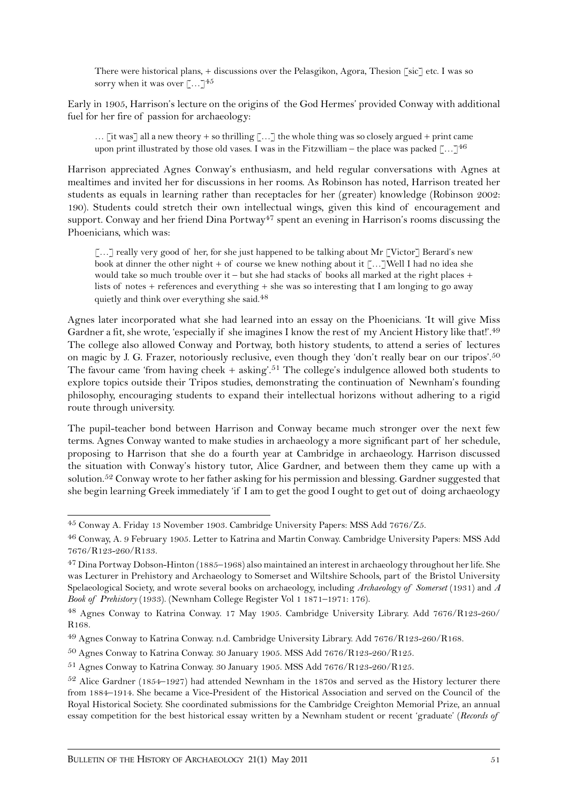There were historical plans, + discussions over the Pelasgikon, Agora, Thesion [sic] etc. I was so sorry when it was over  $\lceil ... \rceil^{45}$ 

Early in 1905, Harrison's lecture on the origins of the God Hermes' provided Conway with additional fuel for her fire of passion for archaeology:

... [it was] all a new theory + so thrilling  $[\dots]$  the whole thing was so closely argued + print came upon print illustrated by those old vases. I was in the Fitzwilliam – the place was packed  $[\dots]^{46}$ 

Harrison appreciated Agnes Conway's enthusiasm, and held regular conversations with Agnes at mealtimes and invited her for discussions in her rooms. As Robinson has noted, Harrison treated her students as equals in learning rather than receptacles for her (greater) knowledge (Robinson 2002: 190). Students could stretch their own intellectual wings, given this kind of encouragement and support. Conway and her friend Dina Portway<sup>47</sup> spent an evening in Harrison's rooms discussing the Phoenicians, which was:

 $\lceil \dots \rceil$  really very good of her, for she just happened to be talking about Mr  $\lceil \text{Victor} \rceil$  Berard's new book at dinner the other night + of course we knew nothing about it  $\lceil \dots \rceil$  Well I had no idea she would take so much trouble over it – but she had stacks of books all marked at the right places  $+$ lists of notes + references and everything + she was so interesting that I am longing to go away quietly and think over everything she said.48

Agnes later incorporated what she had learned into an essay on the Phoenicians. 'It will give Miss Gardner a fit, she wrote, 'especially if she imagines I know the rest of my Ancient History like that!'.<sup>49</sup> The college also allowed Conway and Portway, both history students, to attend a series of lectures on magic by J. G. Frazer, notoriously reclusive, even though they 'don't really bear on our tripos'.50 The favour came 'from having cheek + asking'.<sup>51</sup> The college's indulgence allowed both students to explore topics outside their Tripos studies, demonstrating the continuation of Newnham's founding philosophy, encouraging students to expand their intellectual horizons without adhering to a rigid route through university.

The pupil-teacher bond between Harrison and Conway became much stronger over the next few terms. Agnes Conway wanted to make studies in archaeology a more significant part of her schedule, proposing to Harrison that she do a fourth year at Cambridge in archaeology. Harrison discussed the situation with Conway's history tutor, Alice Gardner, and between them they came up with a solution.<sup>52</sup> Conway wrote to her father asking for his permission and blessing. Gardner suggested that she begin learning Greek immediately 'if I am to get the good I ought to get out of doing archaeology

<sup>45</sup> Conway A. Friday 13 November 1903. Cambridge University Papers: MSS Add 7676/Z5.

<sup>46</sup> Conway, A. 9 February 1905. Letter to Katrina and Martin Conway. Cambridge University Papers: MSS Add 7676/R123-260/R133.

<sup>47</sup> Dina Portway Dobson-Hinton (1885–1968) also maintained an interest in archaeology throughout her life. She was Lecturer in Prehistory and Archaeology to Somerset and Wiltshire Schools, part of the Bristol University Spelaeological Society, and wrote several books on archaeology, including *Archaeology of Somerset* (1931) and *A Book of Prehistory* (1933). (Newnham College Register Vol 1 1871–1971: 176).

<sup>48</sup> Agnes Conway to Katrina Conway. 17 May 1905. Cambridge University Library. Add 7676/R123-260/ R168.

<sup>49</sup> Agnes Conway to Katrina Conway. n.d. Cambridge University Library. Add 7676/R123-260/R168.

<sup>50</sup> Agnes Conway to Katrina Conway. 30 January 1905. MSS Add 7676/R123-260/R125.

<sup>51</sup> Agnes Conway to Katrina Conway. 30 January 1905. MSS Add 7676/R123-260/R125.

 $52$  Alice Gardner (1854–1927) had attended Newnham in the 1870s and served as the History lecturer there from 1884–1914. She became a Vice-President of the Historical Association and served on the Council of the Royal Historical Society. She coordinated submissions for the Cambridge Creighton Memorial Prize, an annual essay competition for the best historical essay written by a Newnham student or recent 'graduate' (*Records of*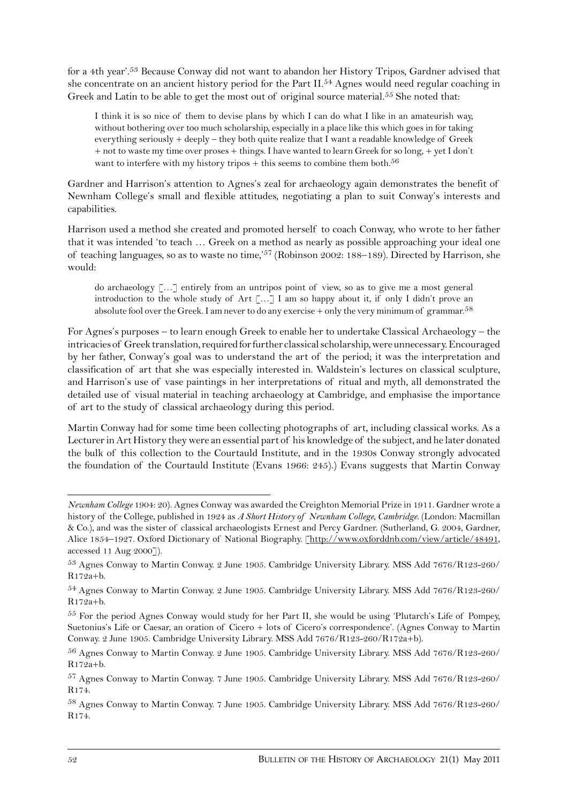for a 4th year'.53 Because Conway did not want to abandon her History Tripos, Gardner advised that she concentrate on an ancient history period for the Part II.<sup>54</sup> Agnes would need regular coaching in Greek and Latin to be able to get the most out of original source material.<sup>55</sup> She noted that:

I think it is so nice of them to devise plans by which I can do what I like in an amateurish way, without bothering over too much scholarship, especially in a place like this which goes in for taking everything seriously + deeply – they both quite realize that I want a readable knowledge of Greek + not to waste my time over proses + things. I have wanted to learn Greek for so long, + yet I don't want to interfere with my history tripos  $+$  this seems to combine them both.<sup>56</sup>

Gardner and Harrison's attention to Agnes's zeal for archaeology again demonstrates the benefit of Newnham College's small and flexible attitudes, negotiating a plan to suit Conway's interests and capabilities.

Harrison used a method she created and promoted herself to coach Conway, who wrote to her father that it was intended 'to teach … Greek on a method as nearly as possible approaching your ideal one of teaching languages, so as to waste no time,'57 (Robinson 2002: 188–189). Directed by Harrison, she would:

do archaeology […] entirely from an untripos point of view, so as to give me a most general introduction to the whole study of Art  $\lceil \ldots \rceil$  I am so happy about it, if only I didn't prove an absolute fool over the Greek. I am never to do any exercise  $+$  only the very minimum of grammar.<sup>58</sup>

For Agnes's purposes – to learn enough Greek to enable her to undertake Classical Archaeology – the intricacies of Greek translation, required for further classical scholarship, were unnecessary. Encouraged by her father, Conway's goal was to understand the art of the period; it was the interpretation and classification of art that she was especially interested in. Waldstein's lectures on classical sculpture, and Harrison's use of vase paintings in her interpretations of ritual and myth, all demonstrated the detailed use of visual material in teaching archaeology at Cambridge, and emphasise the importance of art to the study of classical archaeology during this period.

Martin Conway had for some time been collecting photographs of art, including classical works. As a Lecturer in Art History they were an essential part of his knowledge of the subject, and he later donated the bulk of this collection to the Courtauld Institute, and in the 1930s Conway strongly advocated the foundation of the Courtauld Institute (Evans 1966: 245).) Evans suggests that Martin Conway

*Newnham College* 1904: 20). Agnes Conway was awarded the Creighton Memorial Prize in 1911. Gardner wrote a history of the College, published in 1924 as *A Short History of Newnham College, Cambridge*. (London: Macmillan & Co.), and was the sister of classical archaeologists Ernest and Percy Gardner. (Sutherland, G. 2004, Gardner, Alice 1854–1927. Oxford Dictionary of National Biography. [http://www.oxforddnb.com/view/article/48491, accessed 11 Aug 2000]).

<sup>53</sup> Agnes Conway to Martin Conway. 2 June 1905. Cambridge University Library. MSS Add 7676/R123-260/ R172a+b.

<sup>54</sup> Agnes Conway to Martin Conway. 2 June 1905. Cambridge University Library. MSS Add 7676/R123-260/ R172a+b.

<sup>55</sup> For the period Agnes Conway would study for her Part II, she would be using 'Plutarch's Life of Pompey, Suetonius's Life or Caesar, an oration of Cicero + lots of Cicero's correspondence'. (Agnes Conway to Martin Conway. 2 June 1905. Cambridge University Library. MSS Add 7676/R123-260/R172a+b).

<sup>56</sup> Agnes Conway to Martin Conway. 2 June 1905. Cambridge University Library. MSS Add 7676/R123-260/  $R179a + b$ .

<sup>57</sup> Agnes Conway to Martin Conway. 7 June 1905. Cambridge University Library. MSS Add 7676/R123-260/ R174.

<sup>58</sup> Agnes Conway to Martin Conway. 7 June 1905. Cambridge University Library. MSS Add 7676/R123-260/ R174.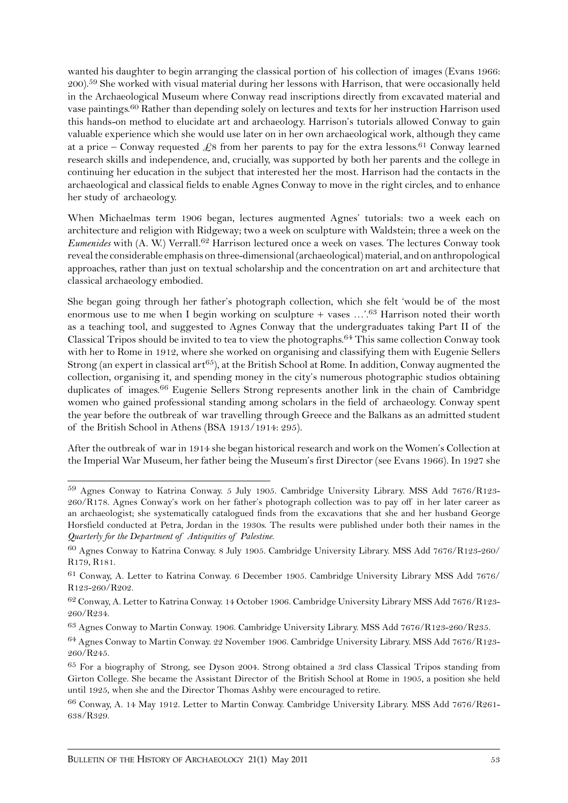wanted his daughter to begin arranging the classical portion of his collection of images (Evans 1966: 200).59 She worked with visual material during her lessons with Harrison, that were occasionally held in the Archaeological Museum where Conway read inscriptions directly from excavated material and vase paintings.60 Rather than depending solely on lectures and texts for her instruction Harrison used this hands-on method to elucidate art and archaeology. Harrison's tutorials allowed Conway to gain valuable experience which she would use later on in her own archaeological work, although they came at a price – Conway requested  $\mathcal{L}8$  from her parents to pay for the extra lessons.<sup>61</sup> Conway learned research skills and independence, and, crucially, was supported by both her parents and the college in continuing her education in the subject that interested her the most. Harrison had the contacts in the archaeological and classical fields to enable Agnes Conway to move in the right circles, and to enhance her study of archaeology.

When Michaelmas term 1906 began, lectures augmented Agnes' tutorials: two a week each on architecture and religion with Ridgeway; two a week on sculpture with Waldstein; three a week on the *Eumenides* with (A. W.) Verrall.62 Harrison lectured once a week on vases. The lectures Conway took reveal the considerable emphasis on three-dimensional (archaeological) material, and on anthropological approaches, rather than just on textual scholarship and the concentration on art and architecture that classical archaeology embodied.

She began going through her father's photograph collection, which she felt 'would be of the most enormous use to me when I begin working on sculpture + vases  $\ldots$ <sup>63</sup> Harrison noted their worth as a teaching tool, and suggested to Agnes Conway that the undergraduates taking Part II of the Classical Tripos should be invited to tea to view the photographs.64 This same collection Conway took with her to Rome in 1912, where she worked on organising and classifying them with Eugenie Sellers Strong (an expert in classical art<sup>65</sup>), at the British School at Rome. In addition, Conway augmented the collection, organising it, and spending money in the city's numerous photographic studios obtaining duplicates of images.66 Eugenie Sellers Strong represents another link in the chain of Cambridge women who gained professional standing among scholars in the field of archaeology. Conway spent the year before the outbreak of war travelling through Greece and the Balkans as an admitted student of the British School in Athens (BSA 1913/1914: 295).

After the outbreak of war in 1914 she began historical research and work on the Women's Collection at the Imperial War Museum, her father being the Museum's first Director (see Evans 1966). In 1927 she

<sup>59</sup> Agnes Conway to Katrina Conway. 5 July 1905. Cambridge University Library. MSS Add 7676/R123- 260/R178. Agnes Conway's work on her father's photograph collection was to pay off in her later career as an archaeologist; she systematically catalogued finds from the excavations that she and her husband George Horsfield conducted at Petra, Jordan in the 1930s. The results were published under both their names in the *Quarterly for the Department of Antiquities of Palestine*.

<sup>60</sup> Agnes Conway to Katrina Conway. 8 July 1905. Cambridge University Library. MSS Add 7676/R123-260/ R179, R181.

<sup>61</sup> Conway, A. Letter to Katrina Conway. 6 December 1905. Cambridge University Library MSS Add 7676/ R123-260/R202.

<sup>62</sup> Conway, A. Letter to Katrina Conway. 14 October 1906. Cambridge University Library MSS Add 7676/R123- 260/R234.

<sup>63</sup> Agnes Conway to Martin Conway. 1906. Cambridge University Library. MSS Add 7676/R123-260/R235.

<sup>64</sup> Agnes Conway to Martin Conway. 22 November 1906. Cambridge University Library. MSS Add 7676/R123- 260/R245.

<sup>65</sup> For a biography of Strong, see Dyson 2004. Strong obtained a 3rd class Classical Tripos standing from Girton College. She became the Assistant Director of the British School at Rome in 1905, a position she held until 1925, when she and the Director Thomas Ashby were encouraged to retire.

<sup>66</sup> Conway, A. 14 May 1912. Letter to Martin Conway. Cambridge University Library. MSS Add 7676/R261- 638/R329.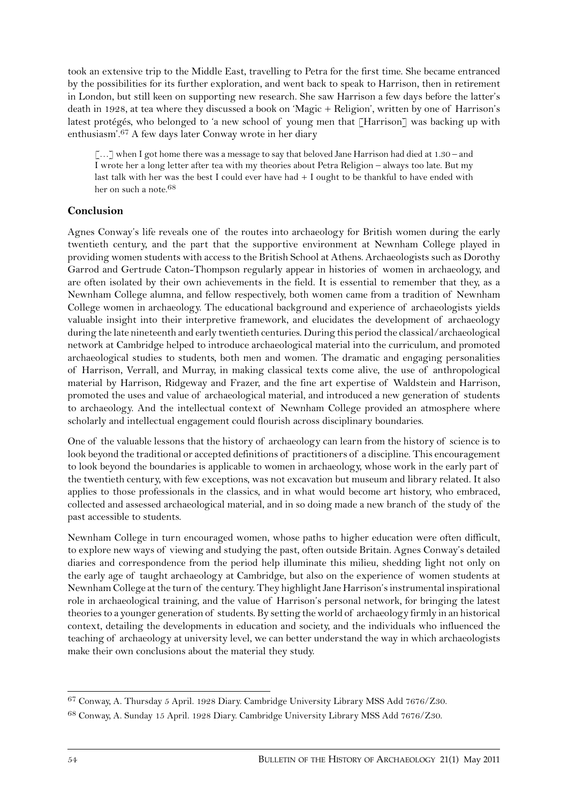took an extensive trip to the Middle East, travelling to Petra for the first time. She became entranced by the possibilities for its further exploration, and went back to speak to Harrison, then in retirement in London, but still keen on supporting new research. She saw Harrison a few days before the latter's death in 1928, at tea where they discussed a book on 'Magic + Religion', written by one of Harrison's latest protégés, who belonged to 'a new school of young men that [Harrison] was backing up with enthusiasm'.67 A few days later Conway wrote in her diary

 $\lbrack \ldots \rbrack$  when I got home there was a message to say that beloved Jane Harrison had died at 1.30 – and I wrote her a long letter after tea with my theories about Petra Religion – always too late. But my last talk with her was the best I could ever have had + I ought to be thankful to have ended with her on such a note.68

## **Conclusion**

Agnes Conway's life reveals one of the routes into archaeology for British women during the early twentieth century, and the part that the supportive environment at Newnham College played in providing women students with access to the British School at Athens. Archaeologists such as Dorothy Garrod and Gertrude Caton-Thompson regularly appear in histories of women in archaeology, and are often isolated by their own achievements in the field. It is essential to remember that they, as a Newnham College alumna, and fellow respectively, both women came from a tradition of Newnham College women in archaeology. The educational background and experience of archaeologists yields valuable insight into their interpretive framework, and elucidates the development of archaeology during the late nineteenth and early twentieth centuries. During this period the classical/archaeological network at Cambridge helped to introduce archaeological material into the curriculum, and promoted archaeological studies to students, both men and women. The dramatic and engaging personalities of Harrison, Verrall, and Murray, in making classical texts come alive, the use of anthropological material by Harrison, Ridgeway and Frazer, and the fine art expertise of Waldstein and Harrison, promoted the uses and value of archaeological material, and introduced a new generation of students to archaeology. And the intellectual context of Newnham College provided an atmosphere where scholarly and intellectual engagement could flourish across disciplinary boundaries.

One of the valuable lessons that the history of archaeology can learn from the history of science is to look beyond the traditional or accepted definitions of practitioners of a discipline. This encouragement to look beyond the boundaries is applicable to women in archaeology, whose work in the early part of the twentieth century, with few exceptions, was not excavation but museum and library related. It also applies to those professionals in the classics, and in what would become art history, who embraced, collected and assessed archaeological material, and in so doing made a new branch of the study of the past accessible to students.

Newnham College in turn encouraged women, whose paths to higher education were often difficult, to explore new ways of viewing and studying the past, often outside Britain. Agnes Conway's detailed diaries and correspondence from the period help illuminate this milieu, shedding light not only on the early age of taught archaeology at Cambridge, but also on the experience of women students at Newnham College at the turn of the century. They highlight Jane Harrison's instrumental inspirational role in archaeological training, and the value of Harrison's personal network, for bringing the latest theories to a younger generation of students. By setting the world of archaeology firmly in an historical context, detailing the developments in education and society, and the individuals who influenced the teaching of archaeology at university level, we can better understand the way in which archaeologists make their own conclusions about the material they study.

<sup>67</sup> Conway, A. Thursday 5 April. 1928 Diary. Cambridge University Library MSS Add 7676/Z30.

<sup>68</sup> Conway, A. Sunday 15 April. 1928 Diary. Cambridge University Library MSS Add 7676/Z30.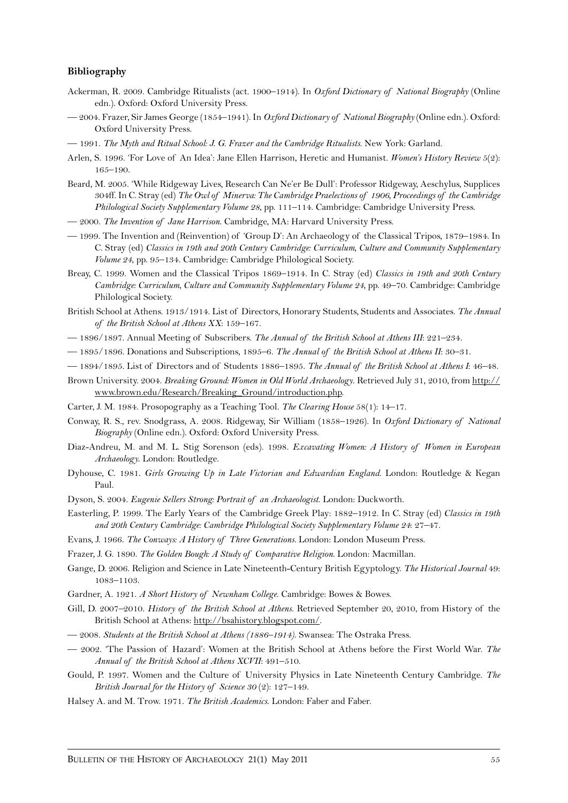### **Bibliography**

- Ackerman, R. 2009. Cambridge Ritualists (act. 1900–1914). In *Oxford Dictionary of National Biography* (Online edn.). Oxford: Oxford University Press.
- 2004. Frazer, Sir James George (1854–1941). In *Oxford Dictionary of National Biography* (Online edn.). Oxford: Oxford University Press.
- 1991. *The Myth and Ritual School: J. G. Frazer and the Cambridge Ritualists*. New York: Garland.
- Arlen, S. 1996. 'For Love of An Idea': Jane Ellen Harrison, Heretic and Humanist. *Women's History Review* 5(2): 165–190.
- Beard, M. 2005. 'While Ridgeway Lives, Research Can Ne'er Be Dull': Professor Ridgeway, Aeschylus, Supplices 304ff. In C. Stray (ed) *The Owl of Minerva: The Cambridge Praelections of 1906, Proceedings of the Cambridge Philological Society Supplementary Volume 28*, pp. 111–114. Cambridge: Cambridge University Press.
- 2000. *The Invention of Jane Harrison*. Cambridge, MA: Harvard University Press.
- 1999. The Invention and (Reinvention) of 'Group D': An Archaeology of the Classical Tripos, 1879–1984. In C. Stray (ed) *Classics in 19th and 20th Century Cambridge: Curriculum, Culture and Community Supplementary Volume 24*, pp. 95–134. Cambridge: Cambridge Philological Society.
- Breay, C. 1999. Women and the Classical Tripos 1869–1914. In C. Stray (ed) *Classics in 19th and 20th Century Cambridge: Curriculum, Culture and Community Supplementary Volume 24*, pp. 49–70. Cambridge: Cambridge Philological Society.
- British School at Athens. 1913/1914. List of Directors, Honorary Students, Students and Associates. *The Annual of the British School at Athens XX*: 159–167.
- 1896/1897. Annual Meeting of Subscribers. *The Annual of the British School at Athens III*: 221–234.
- 1895/1896. Donations and Subscriptions, 1895–6. *The Annual of the British School at Athens II*: 30–31.
- 1894/1895. List of Directors and of Students 1886–1895. *The Annual of the British School at Athens I*: 46–48.
- Brown University. 2004. *Breaking Ground: Women in Old World Archaeology*. Retrieved July 31, 2010, from http:// www.brown.edu/Research/Breaking\_Ground/introduction.php.
- Carter, J. M. 1984. Prosopography as a Teaching Tool. *The Clearing House* 58(1): 14–17.
- Conway, R. S., rev. Snodgrass, A. 2008. Ridgeway, Sir William (1858–1926). In *Oxford Dictionary of National Biography* (Online edn.). Oxford: Oxford University Press.
- Diaz-Andreu, M. and M. L. Stig Sorenson (eds). 1998. *Excavating Women: A History of Women in European Archaeology*. London: Routledge.
- Dyhouse, C. 1981. *Girls Growing Up in Late Victorian and Edwardian England*. London: Routledge & Kegan Paul.
- Dyson, S. 2004. *Eugenie Sellers Strong: Portrait of an Archaeologist*. London: Duckworth.
- Easterling, P. 1999. The Early Years of the Cambridge Greek Play: 1882–1912. In C. Stray (ed) *Classics in 19th and 20th Century Cambridge: Cambridge Philological Society Supplementary Volume 24*: 27–47.
- Evans, J. 1966. *The Conways: A History of Three Generations.* London: London Museum Press.
- Frazer, J. G. 1890. *The Golden Bough: A Study of Comparative Religion*. London: Macmillan.
- Gange, D. 2006. Religion and Science in Late Nineteenth-Century British Egyptology. *The Historical Journal* 49: 1083–1103.
- Gardner, A. 1921. *A Short History of Newnham College*. Cambridge: Bowes & Bowes.
- Gill, D. 2007–2010. *History of the British School at Athens*. Retrieved September 20, 2010, from History of the British School at Athens: http://bsahistory.blogspot.com/.
- 2008. *Students at the British School at Athens (1886–1914)*. Swansea: The Ostraka Press.
- 2002. 'The Passion of Hazard': Women at the British School at Athens before the First World War. *The Annual of the British School at Athens XCVII*: 491–510.
- Gould, P. 1997. Women and the Culture of University Physics in Late Nineteenth Century Cambridge. *The British Journal for the History of Science 30* (2): 127–149.
- Halsey A. and M. Trow. 1971. *The British Academics*. London: Faber and Faber.